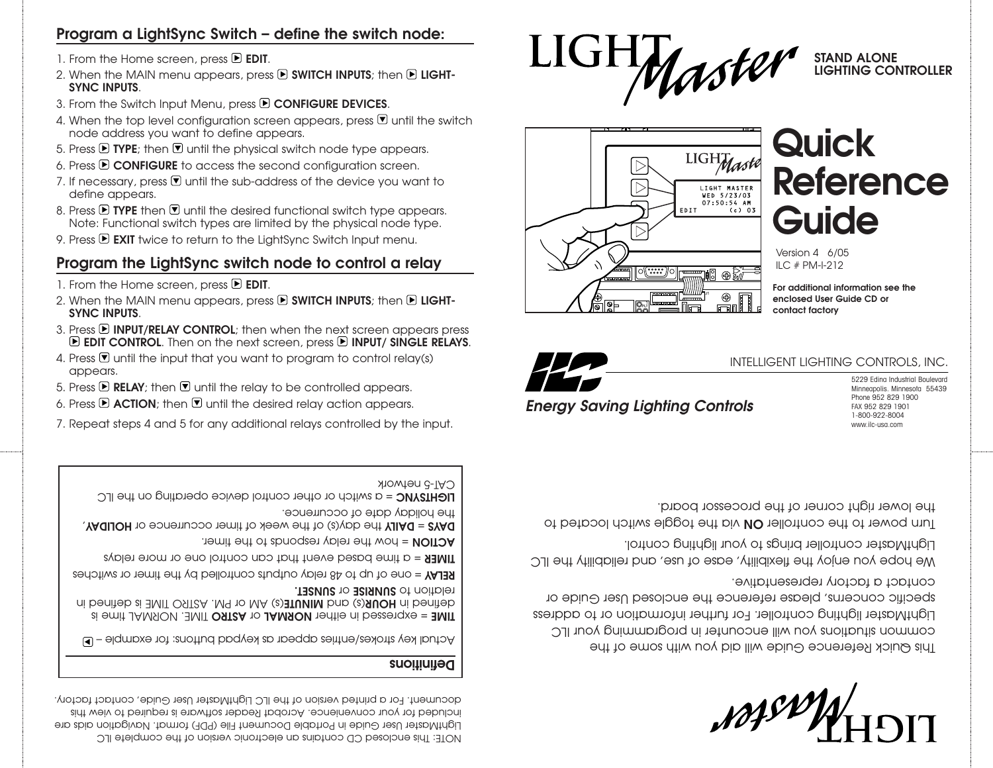This Quick Reference Guide will aid you with some of the common situations you will encorpter in programming your ILC LightMaster lighting controller. For further information or to address specific concerns, please reference the enclosed User Guide or contact a factory representative.

We hope you enjoy the flexibility, ease of use, and reliability the ILC LightMaster controller brings to your lighting control.

lurn power to the controller **ON** via the toggle switch located to

the lower right corner of the processor board.

# *Energy Saving Lighting Controls*

5229 Edina Industrial Boulevard Minneapolis. Minnesota 55439 Phone 952 829 1900 FAX 952 829 1901 1-800-922-8004 www.ilc-usa.com

 $07:50:54$  AM EDIT  $(c) 03$ ||이(?::::)]이  $\oplus$   $\boxtimes$ J1 1 PLT

LIGHTMaste

LIGHT MASTER<br>WED 5/23/03

# **Quick Reference Guide**

**STAND ALONE**

**LIGHTING CONTROLLER**

Version 4 6/05

ILC # PM-I-212

**For additional information see the**

INTELLIGENT LIGHTING CONTROLS, INC.

**enclosed User Guide CD or** 





 $\triangleright$  $\triangleright$ 

# **Program a LightSync Switch – define the switch node:**

- 1. From the Home screen, press **E EDIT**.
- 2. When the MAIN menu appears, press **E SWITCH INPUTS**; then **E LIGHT-SYNC INPUTS**.
- 3. From the Switch Input Menu, press **D CONFIGURE DEVICES**.
- 4. When the top level configuration screen appears, press  $\blacksquare$  until the switch node address you want to define appears.
- 5. Press  $\mathbf E$  TYPE; then  $\mathbf \nabla$  until the physical switch node type appears.
- 6. Press **CONFIGURE** to access the second configuration screen.
- 7. If necessary, press  $\overline{\mathbb{U}}$  until the sub-address of the device you want to
- define appears.
- 8. Press  $\triangleright$  TYPE then  $\triangleright$  until the desired functional switch type appears.
- Note: Functional switch types are limited by the physical node type.
- 
- 
- 9. Press **EXIT** twice to return to the LightSync Switch Input menu.
- 

4. Press  $\overline{\mathbb{U}}$  until the input that you want to program to control relay(s)

7. Repeat steps 4 and 5 for any additional relays controlled by the input.

5. Press  $\blacksquare$  **RELAY**; then  $\blacksquare$  until the relay to be controlled appears. 6. Press  $\mathbf F$  **ACTION**; then  $\mathbf F$  until the desired relay action appears.

### **Program the LightSync switch node to control a relay**

2. When the MAIN menu appears, press **D SWITCH INPUTS**; then **D LIGHT-**

3. Press **E INPUT/RELAY CONTROL**; then when the next screen appears press **E EDIT CONTROL.** Then on the next screen, press **E INPUT/ SINGLE RELAYS.** 

Actual key strokes/entries appear as keypad buttons: for example – **TIME = expressed in either NORMAL or ASTRO TIME. NORMAL time is** (s) AM or PM. ASTRO TIME is defined in **MINUTE** (s) and **HOUR** defined in

NOTE: This enclosed CD contains an electronic version of the complete ILC LightMaster User Guide in Portable Document File (PDF) format. Navigation aids are included for your convenience. Acrobat Reader software is required to view this document. For a printed version of the ILC LightMaster User Guide, contact factory.

= one of up to 48 relay outputs controlled by the timer or switches **RELAY** = a time based event that can control one or more relays **TIMER** 

**DAYS = DAILY** the day(s) of the week of timer occurrence or HOLIDAY,

**LIGHTSYNC** = a switch or other control device operating on the ILC

**Definitions**

CAT-5 network

**SUNSEE** or **SUNSET.** 

the holiday date of occurrence.

**ACTION = how the relay responds to the timer.** 

**SYNC INPUTS**.

appears.

- 1. From the Home screen, press **E EDIT**.
- 
- 
- 
- 
-